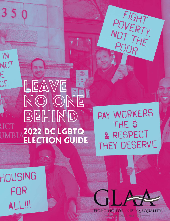LEAVE NO ONE BEHIND 2022 DC LGBTQ **ELECTION GUIDE** 

PAY WORKERS THE<sub>\$</sub> & RESPECT THEY DESERVE

FIGHT<br>NOVERTY<br>NOT THE

HOUSING FOR ALL!!!

 $350$ 

 $M$ 

NO I

CE

RICT

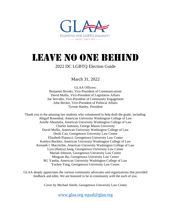

# Leave No One Behind

#### 2022 DC LGBTQ Election Guide

March 31, 2022

GLAA Officers: Benjamin Brooks, Vice-President of Communications David Mullis, Vice-President of Legislative Affairs Joe Servidio, Vice-President of Community Engagement John Becker, Vice-President of Political Affairs Tyrone Hanley, President

Thank you to the amazing law students who volunteered to help draft the guide, including: Abigail Rosenthal, American University Washington College of Law Arielle Aboulafia, American University Washington College of Law Charles Iantorno, George Mason University David Mullis, American University Washington College of Law Dezhi Cao, Georgetown University Law Center Elizabeth Pianucci, Georgetown University Law Center Katelyn Buckles, American University Washington College of Law Kenneth l. Macritchie, American University Washington College of Law Lyra (Hanyu) Jiang, Georgetown University Law Center Mariah Johnson, Georgetown University Law Center Mingyan Hu, Georgetown University Law Center RG Yamba, American University Washington College of Law Yuchen Yang, Georgetown University Law Center

GLAA deeply appreciates the various community advocates and organizations that provided feedback and edits. We are honored to be in community with the each of you.

Cover by Michael Smith, Georgetown University Law Center

[www.glaa.org](http://www.glaa.org/) [equal@glaa.org](mailto:equal@glaa.org)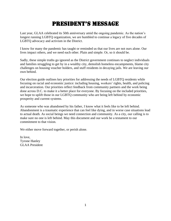# President's Message

Last year, GLAA celebrated its 50th anniversary amid the ongoing pandemic. As the nation's longest running LGBTQ organization, we are humbled to continue a legacy of five decades of LGBTQ advocacy and activism in the District.

I know for many the pandemic has taught or reminded us that our lives are not ours alone. Our lives impact others, and we need each other. Plain and simple. Or, so it should be.

Sadly, these simple truths go ignored as the District government continues to neglect individuals and families struggling to get by in a wealthy city, demolish homeless encampments, blame city challenges on housing voucher holders, and stuff residents in decaying jails. We are leaving our own behind.

Our election guide outlines key priorities for addressing the needs of LGBTQ residents while focusing on racial and economic justice: including housing, workers' rights, health, and policing and incarceration. Our priorities reflect feedback from community partners and the work being done across D.C. to make it a better place for everyone. By focusing on the included priorities, we hope to uplift those in our LGBTQ community who are being left behind by economic prosperity and current systems.

As someone who was abandoned by his father, I know what it feels like to be left behind. Abandonment is a traumatic experience that can feel like dying, and in worse case situations lead to actual death. As social beings we need connection and community. As a city, our calling is to make sure no one is left behind. May this document and our work be a testament to our commitment to that vision.

We either move forward together, or perish alone.

In love, Tyrone Hanley GLAA President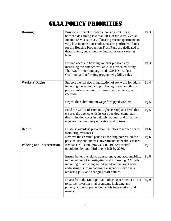# GLAA Policy Priorities

| <b>Housing</b>                    | Provide sufficient affordable housing units for all<br>households earning less than 30% of the Area Median<br>Income (AMI), such as, allocating vacant apartments to<br>very low-income households, ensuring sufficient funds<br>for the Housing Production Trust Fund are dedicated to<br>these renters, and strengthening inclusionary zoning<br>laws. | Pg 3            |
|-----------------------------------|----------------------------------------------------------------------------------------------------------------------------------------------------------------------------------------------------------------------------------------------------------------------------------------------------------------------------------------------------------|-----------------|
|                                   | Expand access to housing voucher programs by<br>increasing the number available, as advocated for by<br>The Way Home Campaign and LGBTQ+ Budget<br>Coalition, and reforming program eligibility rules.                                                                                                                                                   | Pg <sub>3</sub> |
| <b>Workers' Rights</b>            | Support the full decriminalization of sex work for adults,<br>including the selling and purchasing of sex and third-<br>party involvement not involving fraud, violence, or<br>coercion.                                                                                                                                                                 | Pg4             |
|                                   | Repeal the subminimum wage for tipped workers.                                                                                                                                                                                                                                                                                                           | Pg <sub>5</sub> |
|                                   | Fund the Office of Human Rights (OHR) at a level that<br>ensures the agency ends its case backlog, completes<br>discrimination cases in a timely manner, and effectively<br>engages in community education and outreach.                                                                                                                                 | Pg <sub>5</sub> |
| <b>Health</b>                     | Establish overdose prevention facilities to reduce deaths<br>from drug overdoses.                                                                                                                                                                                                                                                                        | Pg 6            |
|                                   | Remove the criminal penalties for drug possession for<br>personal use and increase investments in health services.                                                                                                                                                                                                                                       | Pg 6            |
| <b>Policing and Incarceration</b> | Reduce D.C.'s total pre-COVID-19 incarcerated<br>population by one-third to one-half by 2030.                                                                                                                                                                                                                                                            | Pg 7            |
|                                   | Ensure better oversight, transparency, and accountability<br>in the process of investigating and improving D.C. jails,<br>including establishing an independent oversight body,<br>addressing issues impacting transgender individuals,<br>repairing jails, and changing staff culture.                                                                  | Pg 8            |
|                                   | Divest from the Metropolitan Police Department (MPD)<br>to further invest in vital programs, including anti-<br>poverty, violence prevention, crisis intervention, and<br>reentry.                                                                                                                                                                       | Pg9             |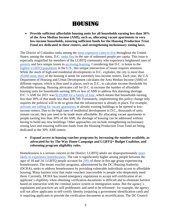# Housing

• **Provide sufficient affordable housing units for all households earning less than 30% of the Area Median Income (AMI), such as, allocating vacant apartments to very low-income households, ensuring sufficient funds for the Housing Production Trust Fund are dedicated to these renters, and strengthening inclusionary zoning laws.**

The District of Columbia ranks among the [most expensive cities to live](https://www.investopedia.com/articles/personal-finance/080916/top-10-most-expensive-cities-us.asp) [t](https://www.investopedia.com/articles/personal-finance/080916/top-10-most-expensive-cities-us.asp)hroughout the United States; among the states, D.C. [ranks first](https://www.statista.com/statistics/727847/homelessness-rate-in-the-us-by-state/) in the rate of unhoused people per capita. This issue is especially magnified for members of the LGBTQ community who experience heightened rates of [poverty](https://williamsinstitute.law.ucla.edu/wp-content/uploads/National-LGBT-Poverty-Oct-2019.pdf.) and face unique issues in [accessing housing.](https://www.opportunityhome.org/resources/lgbtq-rights-and-housing-fact-sheet/;) Considering that D.C. is home to the [highest LGBTQ population](https://www.washingtonblade.com/2019/03/06/d-c-has-highest-lgbtq-population-in-the-u-s/) in the U.S., this unique intersection of issues requires attention. While the stock of high-e[n](https://nlihc.org/housing-needs-by-state/district-columbia)d residential developments in D.C. explodes, the city is more than [20,000 units short](https://nlihc.org/housing-needs-by-state/district-columbia) of the housing it needs for extremely low-income renters. Each year, the U.S. Department of Housing and Urban Development calculates the Area Median Income (AMI) of different regions, which is then used in places, such as D.C., to calculate income thresholds for affordable housing. Housing advocates call for D.C. to increase the number of affordable housing units for households earning 30% or less of AMI to address this alarming shortage. D.C.'s AMI for 2021 was [\\$129,000 for a family of four,](https://ggwash.org/view/81935/here-are-dcs-new-affordable-housing-income-limits-for-2021) which means that households earning less than 30% of that made less than \$38,700. Fortunately, implementing this policy change only requires the political will to do so given that the infrastructure is already in place. For example, [activists are calling for vacant apartments](https://georgetownvoice.com/2021/10/07/dc-homeless-crisis-vacant-to-virus/) in already existing buildings to be opened to lowincome renters. Due to the high rates of residential development in D.C., thousands of units remain vacant; they just need to be made more affordable. By allocating vacant apartments to people earning less than 30% of the AMI, the shortage of housing can be addressed without having to build any new buildings. Other approaches can include strengthening inclusionary zoning laws and ensuring sufficient funds from the Housing Production Trust Fund are being dedicated to the 30% AMI renters.

• **Expand access to housing voucher programs by increasing the number available, as advocated for by The Way Home Campaign and LGBTQ+ Budget Coalition, and reforming program eligibility rules.**

Homelessness is a serious concern in the District. LGBTQ adults are disproportionately [more](https://williamsinstitute.law.ucla.edu/publications/lgbt-homelessness-us/)  [likely to experience homelessness.](https://williamsinstitute.law.ucla.edu/publications/lgbt-homelessness-us/) The rate is significantly higher among people between the ages of 18 and 24: LGBTQ people account for [29%](https://community-partnership.org/wp-content/uploads/2021/06/2021-PIT-Count-Presentation.pdf) of those in this age group experiencing homelessness. The tenant voucher programs, administered by the DC Housing Authority (DCHA), seeks to address homelessness by providing vulnerable individuals access to affordable housing. Many barriers exist that make vouchers inaccessible to people who desperately need them. Currently, DCHA has issued emergency regulations to accept self-certification of an applicant's eligibility when obtaining verification documents is difficult and to eliminate barriers based on interaction with the criminal justice system or immigration status. But the agency's regulations and practices are still problematic and need to be reformed– for example, the agency will not allow applicants to self-certify identity (requiring a government identification card) and is requiring applicants to provide the verification documents at recertification. The DC Council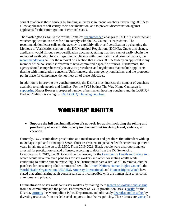sought to address these barriers by funding an increase in tenant vouchers, instructing DCHA to allow applicants to self-certify their documentation, and to prevent discrimination against applicants for their immigration or criminal status.

The Washington Legal Clinic for the Homeless [recommended](https://www.legalclinic.org/dc-council-reduces-barriers-to-rental-housing/) changes to DCHA's current tenant voucher application in order for it to comply with the DC Council's instructions. The recommendation letter calls on the agency to explicitly allow self-certification by changing the Methods of Verification section in the DC Municipal Regulations (DCMR). Under this change, applicants would fill out a self-certification document, stating that they cannot easily obtain the requested verification forms. Regarding applicants with immigration and criminal history, the [recommendations](https://www.legalclinic.org/wp-content/uploads/2022/01/Comments-on-DC-Housing-Authority-Tenant-Based-Eligiblity-Verification-Regulations-1-16-22.pdf) call for the removal of a section that allows DCHA to deny an applicant if any member of the household is "proven to have committed '' specific offenses. Furthermore, the agency should comprehensively review its procedures and regulations that exclude applicants dealing with immigration concerns. Unfortunately, the emergency regulations, and the protocols put in place for compliance, do not meet all of these objectives.

In addition to improving the voucher process, the District must increase the number of vouchers available to single people and families. For the FY23 budget The Way Home Campaign is [supporting](https://twitter.com/thewayhomeDC/status/1506325702878113802?s=20&t=wAt8mlQb-Zt5xXVL6gqcyw) Mayor Bowser's proposed number of permanent housing vouchers and the LGBTQ+ Budget Coalition is asking for [100 LGBTQ+ housing vouchers.](https://docs.google.com/document/d/12-6CEflJDRya0pogJ3eqf7JcAg_7FHcPuX40faoblCA/edit?usp=sharing)

### Workers' rights

• **Support the full decriminalization of sex work for adults, including the selling and purchasing of sex and third-party involvement not involving fraud, violence, or coercion.**

Currently, D.C. criminalizes prostitution as a misdemeanor and penalizes first offenders with up to 90 days in jail and a fine up to \$500. Those re-arrested are penalized with sentences up to two years in jail and a fine up to \$12,500. From 2019-2021, Black people were disproportionately arrested for prostitution-related offenses, according to data from the DC Sentencing Commission. In 2019, the DC Council held a hearing for the [Community Health and Safety Act,](http://lims.dccouncil.us/Legislation/B23-0318) which would have removed penalties for sex workers and other consenting adults while continuing to outlaw human trafficking. The District must pass a similar bill to remove criminal penalties for consenting adult commercial sex. The [United Nations Human Rights Council,](https://www.refworld.org/docid/4c076fb72.html) the [World Health Organization,](https://www.who.int/hiv/pub/guidelines/sex_worker/en/) [UNAIDS,](https://www.unaids.org/en/%20resources/documents/2017/fast-track-human-rights) [Amnesty International,](https://www.amnesty.org/en/documents/%20pol30/4062/2016/en) and [Human Rights Watch](https://www.hrw.org/news/2019/08/07/why-sex-work-should-be-decriminalized) have stated that criminalizing adult consensual sex is incompatible with the human right to personal autonomy and privacy.

Criminalization of sex work harms sex workers by making them [targets of violence and stigma](http://bit.ly/DCSexWorkReforms) from the community and the police. Enforcement of D.C.'s prostitution laws is [costly](https://doi.org/10.3390/soc11030112) for the District, [corrupts](https://www.washingtonpost.com/local/crime/off-duty-dc-policeofficer-convicted-of-assault-with-a-deadly-weapon/2012/10/26/de37f176-1fa1-11e2-ba31-%203083ca97c314_story.html) the Metropolitan Police Department, and ultimately [degrades public safety](https://mpdc.dc.gov/release/additional-arrests-made-solicitation-prostitutionoperation-14) by diverting resources from needed social support to ineffective policing. These issues are [worse](https://www.washingtonpost.com/local/social-issues/as-a-homeless-transgender-woman-she-turned-to-sex-work-to-survive-then-she-was-killed/2019/04/06/be157636-57e7-11e9-8ef3-fbd41a2ce4d5_story.html) for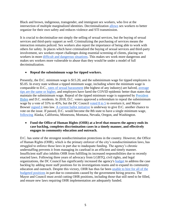Black and brown, indigenous, transgender, and immigrant sex workers, who live at the intersection of multiple marginalized identities. Decriminalization [allows](https://doi.org/10.1016/S0140-6736(15)61460-X) sex workers to better organize for their own safety and reduces violence and STI transmission.

It is crucial to decriminalize not simply the selling of sexual services, but the buying of sexual services and third-party support as well. Criminalizing the purchasing of services means the interaction remains policed. Sex workers also report the importance of being able to work with others for safety. In places which have criminalized the buying of sexual services and third-party involvement, sex workers report challenges doing essential screening of clients, placing sex workers in more [difficult and dangerous situations.](https://www.amnesty.org/en/latest/news/2022/01/ireland-laws-criminalizing-sex-work-are-facilitating-the-targeting-and-abuse-of-sex-workers/) This makes sex work more dangerous and makes sex workers more vulnerable to abuse than they would be under a model of full decriminalization.

#### • **Repeal the subminimum wage for tipped workers.**

Presently, the D.C. minimum wage is \$15.20, and the subminimum wage for tipped employees is \$5.05. In every state without a tipped minimum wage, including where the minimum wage is comparable to D.C., [rates of sexual harassment](https://www.georgetownpoverty.org/wp-content/uploads/2019/02/GCPI-ESOI-Sexual-Harassment-FS-20190110-1.pdf) (the highest of any industry) are halved, [average](https://onefairwage.site/wp-content/uploads/2022/02/OFW_FactSheet_DC.pdf)  [tips are the same or higher,](https://onefairwage.site/wp-content/uploads/2022/02/OFW_FactSheet_DC.pdf) and employers have fared the COVID epidemic better than states that maintain the subminimum wage. Repeal of the tipped minimum wage is supported by [President](https://twitter.com/JoeBiden/status/1303056694360944640?s=20&t=b0U_ce3ffyH6y-mlthpIdA)  [Biden](https://twitter.com/JoeBiden/status/1303056694360944640?s=20&t=b0U_ce3ffyH6y-mlthpIdA) and D.C. residents. In 2018, D.C. voters approved a referendum to repeal the subminimum wage by a vote of 55% to 45%, but the DC Council voted  $8$  to 5 to overturn it, and Mayor Bowser [signed it](https://lims.dccouncil.us/downloads/LIMS/40679/Signed_Act/B22-0913-SignedAct.pdf) into law. [A current ballot initiative](https://www.washingtonpost.com/dc-md-va/2022/02/03/initiative-82-dc-tipped-minimum-wage/) is underway to give D.C. another chance to vote on the issue. If passed, D.C. would become the 8th state to have a single minimum wage, [following](https://onefairwage.site/wp-content/uploads/2021/04/OFW_MythsAndFacts_6.pdf) Alaska, California, Minnesota, Montana, Nevada, Oregon, and Washington.

#### • **Fund the Office of Human Rights (OHR) at a level that ensures the agency ends its case backlog, completes discrimination cases in a timely manner, and effectively engages in community education and outreach.**

D.C. has some of the strongest nondiscrimination protections in the country. However, the Office of Human Rights (OHR), which is the primary enforcer of the city's nondiscrimination laws, has struggled to enforce those laws in part due to inadequate funding. The agency's chronic understaffing prevents it from managing its caseload in an efficient and timely manner. Insufficient staff also inhibits OHR from fulfilling its increased responsibilities due to recently enacted laws. Following three years of advocacy from LGBTQ, civil rights, and legal organizations, the DC Council has significantly increased the agency's [budget](https://ohr.dc.gov/page/annualreports) to address the case backlog by adding more staff positions for its investigations teams and to expand its community education and outreach. Despite this victory, OHR has thus far been [unable to hire for all of the](https://ohr.dc.gov/sites/default/files/dc/sites/ohr/publication/attachments/OHR-V5-9-28-2021.pdf)  [budgeted positions](https://ohr.dc.gov/sites/default/files/dc/sites/ohr/publication/attachments/OHR-V5-9-28-2021.pdf) in part due to constraints caused by the government hiring process. The Mayor and Council must avoid cutting OHR positions, including those that still need to be filled, and ensure new laws requiring OHR implementation are adequately funded.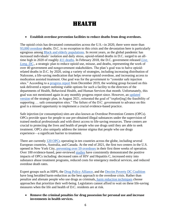### **HEALTH**

#### • **Establish overdose prevention facilities to reduce deaths from drug overdoses.**

The opioid crisis has devastated communities across the U.S.--in 2020, there were more than [93,000 overdose](https://www.cdc.gov/nchs/pressroom/nchs_press_releases/2021/20210714.htm) deaths. D.C. is no exception to this crisis and the devastation here is particularly egregious among [Black and elderly populations.](https://livelong.dc.gov/page/about-live-long-dc) In recent years, as the global pandemic has increased individuals' isolation and daily stress, opioid-related deaths in D.C. surged to an alltime high in 2020 of roughly [411 deaths.](https://livelong.dc.gov/page/about-live-long-dc) In February 2018, the D.C. government released *[Live.](https://livelong.dc.gov/)  [Long. DC.](https://livelong.dc.gov/)*, a strategic plan to reduce opioid use, misuse, and deaths, representing the work of over 40 government and nongovernment stakeholders. The plan's goal was to halve opioidrelated deaths in D.C. by 2020, using a variety of strategies, including increasing distribution of Naloxone, a life-saving medication that helps reverse opioid overdose, and increasing access to medication assisted treatment. One goal was for the government to "consider safe injection sites." According to a [progress report](https://livelong.dc.gov/sites/default/files/u65602/LLDC-Accomplishments_website_December%202019srh.pdf) from December 2019, the working group focused on this task delivered a report outlining viable options for such a facility to the directors of the departments of Health, Behavioral Health, and Human Services that month. Unfortunately, this goal was not mentioned again in any monthly progress report since. However, an [updated](https://livelong.dc.gov/sites/default/files/dc/sites/opioid/page_content/attachments/DC_Opioid_Strategic_Plan_2.0_FINAL.pdf)  [version](https://livelong.dc.gov/sites/default/files/dc/sites/opioid/page_content/attachments/DC_Opioid_Strategic_Plan_2.0_FINAL.pdf) of the strategic plan, in August 2021, reiterated the goal of "explor[ing] the feasibility of supporting … safe consumption sites." The failure of the D.C. government to advance on this goal is a missed opportunity to implement a crucial evidence-based practice.

Safe injection (or consumption) sites are also known as Overdose Prevention Centers (OPCs). OPCs provide space for people to use pre-obtained illegal substances under the supervision of trained medical professionals and with direct access to life-saving resources. These centers are crucial to protecting the lives and health of people who use drugs until they are able to seek treatment. OPCs also uniquely address the intense stigma that people who use drugs experience—a significant barrier to treatment.

There are currently [120 OPCs](https://drugpolicy.org/issues/supervised-consumption-services) operating in ten countries across the globe, including several European countries, Australia, and Canada. At the end of 2021, the first two centers in the U.S. opened in New York City, [preventing over 59 overdoses](https://www1.nyc.gov/site/doh/about/press/pr2021/overdose-prevention-centers-prevent-59-deaths.page) in their first three weeks of operation. Over 100 evidence-based, peer-reviewed [studies](https://drugpolicy.org/issues/supervised-consumption-services) have consistently demonstrated the positive impacts of OPCs including: decreased rates of HIV and Hepatitis C, increased entry into substance abuse treatment programs, reduced costs for emergency medical services, and reduced overdose death rates.

Expert groups such as HIPS, the [Drug Policy Alliance,](https://www.youtube.com/watch?v=B0lhe-x7Qvw) and the [Decrim Poverty DC Coalition](https://decrimpovertydc.org/our-legislative-proposal/) have long heralded harm-reduction as the best approach to the overdose crisis. Rather than penalize and alienate people who use drugs as criminals, [harm reduction techniques](https://www.hips.org/policiesandpositions.html) choose approaches that prioritize their well-being. Legislators cannot afford to wait on these life-saving measures when the life and health of D.C. residents are at risk.

• **Remove the criminal penalties for drug possession for personal use and increase investments in health services.**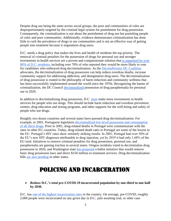Despite drug use being the same across social groups, the poor and communities of color are disproportionately targeted by the criminal legal system for punishment for drug possession. Consequently, the criminalization is not about the punishment of drug use but punishing people of color and poor communities. Additionally, evidence demonstrates criminalization has done little to curb the prevalence of drugs in our communities and is not an effective way of getting people into treatment because it stigmatizes drug users.

D.C. needs a drug policy that makes the lives and health of residents the top priority. The removal of criminal penalties for the possession of drugs for personal use and stronger investments in health services are a proven and compassionate solution that [is supported by over](https://drugpolicy.org/sites/default/files/220-6121_dc_drug_decriminalization_policy_survey_memo_-_final.pdf)  [80% of D.C.](https://drugpolicy.org/sites/default/files/220-6121_dc_drug_decriminalization_policy_survey_memo_-_final.pdf) residents, including over 70% of who reported they would be more likely to vote for candidates who embraced drug decriminalization. As the [DecrimPoverty DC Coalition](https://decrimpovertydc.org/) advocates, the decriminalization of drug possession can help reduce overdose deaths, increase community support for addressing addiction, and destigmatize drug users. The decriminalization of drug possession is rooted in the philosophy of harm reduction and community wellness that has been successfully implemented around the world since the 1970s. Recognizing the harms of criminalization, the DC Council [decriminalized](https://lims.dccouncil.us/Legislation/B23-0054) possession of drug paraphernalia for personal use in 2020.

In addition to decriminalizing drug possession, D.C. [must](https://decrimpovertydc.org/our-legislative-proposal/) make more investments in health services for people who use drugs. This should include harm reduction and overdose prevention centers, drug education and testing programs, and other supports for the well-being and safety of people who use drugs.

Roughly two dozen countries and several states have pursued drug decriminalization. For example, in 2001, Portuguese legislators [decriminalized low-level possession and consumption](https://transformdrugs.org/blog/drug-decriminalisation-in-portugal-setting-the-record-straight#:~:text=In%20real%20terms%2C%20drug%20death,23.7%20per%20million%20(2019).)  [of all illicit drugs.](https://transformdrugs.org/blog/drug-decriminalisation-in-portugal-setting-the-record-straight#:~:text=In%20real%20terms%2C%20drug%20death,23.7%20per%20million%20(2019).) Prior to 2001, drug-related deaths in Portugal were commensurate with the rates in other EU countries. Today, drug-related death rates in Portugal are some of the lowest in the EU. Portugal's HIV rates show similarly striking results. In 2001, Portugal had over 50% of the EU's new HIV diagnoses attributable to drug injection, yet by 2019 it had only 1.68% of the EU total. Initiatives to remove criminal penalties for drug possession, personal use, and paraphernalia are gaining traction in several states. Oregon residents voted to decriminalize drug possession in 2020, and Washington state [has proposed](https://www.marijuanamoment.net/proposed-washington-state-ballot-initiative-would-decriminalize-drug-possession-and-expand-recovery-services/) a ballot initiative that would remove basic drug possession laws and direct \$150 million to treatment services. Drug decriminalization bills [are also pending](https://www.pewtrusts.org/en/research-and-analysis/blogs/stateline/2021/11/03/oregons-drug-decriminalization-may-spread-despite-unclear-results) in other states.

## Policing and incarceration

• **Reduce D.C.'s total pre-COVID-19 incarcerated population by one-third to one-half by 2030.**

D.C. has [one of the highest](https://wamu.org/story/19/09/10/district-of-corrections-does-d-c-really-have-the-highest-incarceration-rate-in-the-country/) [incarceration rates](https://wamu.org/story/19/09/10/district-of-corrections-does-d-c-really-have-the-highest-incarceration-rate-in-the-country/) in the country. On average, pre-COVID, roughly 2,000 people were incarcerated on any given day in D.C. jails awaiting trial, or other case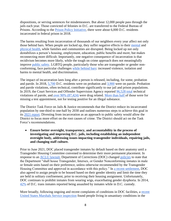dispositions, or serving sentences for misdemeanors. But about 12,000 people pass through the jails each year. Those convicted of felonies in D.C. are transferred to the Federal Bureau of Prisons. According to the [Prison Policy Initiative,](https://www.prisonpolicy.org/profiles/DC.html) there were about 6,000 D.C. residents incarcerated in federal prison in 2018.

The harms resulting from incarceration of thousands of our neighbors every year affect not only those behind bars. When people are locked up, they suffer negative effects to their [mental](https://www.prisonpolicy.org/blog/2021/05/13/mentalhealthimpacts/) and [physical health,](https://theconversation.com/how-mass-incarceration-harms-u-s-health-in-5-charts-90674) while families and communities are disrupted. Being locked up not only destabilizes a person's housing, employment, education, public benefits and more, but makes reconnecting more difficult. Importantly, one negative consequence of incarceration is that recidivism becomes more likely, while the tough on crime approach does not meaningfully improve [public safety.](https://www.vera.org/downloads/publications/for-the-record-prison-paradox_02.pdf) LGBTQ people, particularly those who are transgender or gender nonconforming, face particular challenges [while behind bars:](https://www.prisonpolicy.org/blog/2021/03/02/lgbtq/) increased violence, isolation and harms to mental health, and discrimination.

The impact of incarceration lasts long after a person is released, including, for some, probation and parole. In 2018, [5,700](https://www.prisonpolicy.org/profiles/DC.html) D.C. residents were on probation and [3,900](https://www.prisonpolicy.org/profiles/DC.html) were on parole. Probation and parole violations, often technical, contribute significantly to our jail and prison populations. In 2019, the Court Services and Offender Supervision Agency reported [96,528 total](https://www.prisonpolicy.org/blog/2020/10/28/dc_technical_violations/) technical violations of parole, and [over 90% \(87,424\)](https://www.prisonpolicy.org/blog/2020/10/28/dc_technical_violations/) were drug related. [More than](https://www.prisonpolicy.org/blog/2020/10/28/dc_technical_violations/) [half o](https://www.prisonpolicy.org/blog/2020/10/28/dc_technical_violations/)f those were for missing a test appointment, not for testing positive for an illegal substance.

The District Task Force on Jails & Justice recommends that the District reduce its incarcerated population by one-third to one-half by 2030 and outlines numerous steps to achieve this goal in its [2021 report.](http://www.courtexcellence.org/uploads/publications/TransformationStartsToday.pdf) Divesting from incarceration as an approach to public safety would allow the District to focus more effort on the root causes of crime. The District should act on the Task Force's recommendations.

• **Ensure better oversight, transparency, and accountability in the process of investigating and improving D.C. jails, including establishing an independent oversight body, addressing issues impacting transgender individuals, repairing jails, and changing staff culture.** 

Prior to June 2021, DOC placed transgender inmates by default based on their anatomy until a Transgender Housing Committee convened to determine their more permanent placement. In response to an [ACLU lawsuit,](https://www.washingtonpost.com/local/public-safety/dc-jail-transgender-lawsuit/2021/08/25/dcbdce3a-0514-11ec-a266-7c7fe02fa374_story.html) Department of Corrections (DOC) changed [policies](https://doc.dc.gov/sites/default/files/dc/sites/doc/publication/attachments/PP%204020.3H%20Gender%20Classification%20and%20Housing%2006-17-2021_0.pdf) to state that the Department "shall house Transgender, Intersex, or Gender Nonconforming inmates in male or female units based on their preference, unless otherwise recommended by the Transgender Housing Committee and approved in accordance with this policy." In [a recent settlement,](https://www.metroweekly.com/2022/03/department-of-corrections-to-change-d-c-jails-transgender-housing-policies/?utm_source=mw-self&utm_medium=sidebar-most-popular&utm_campaign=self_site_traffic&utm_id=metro-weekly-site) DOC also agreed to assign people to be housed based on their gender identity and limit the time they are held in solitary confinement, prior to receiving their housing assignment. Unfortunately, DOC continues to prohibit inmates from wearing wigs, exacerbating gender dysphoria. In 2014, [42%](https://dctranscoalition.files.wordpress.com/2015/11/dctc-access-denied-final.pdf) of D.C. trans inmates reported being assaulted by inmates while in D.C. custody.

More broadly, following ongoing and [recent](https://dcist.com/story/21/11/03/400-dc-jail-residents-will-be-moved-to-pennsylvania/) complaints of conditions in DOC facilities, a recent [United States Marshals Service inspection](https://dcist.com/story/21/11/03/400-dc-jail-residents-will-be-moved-to-pennsylvania/) found people living in unsanitary conditions in the